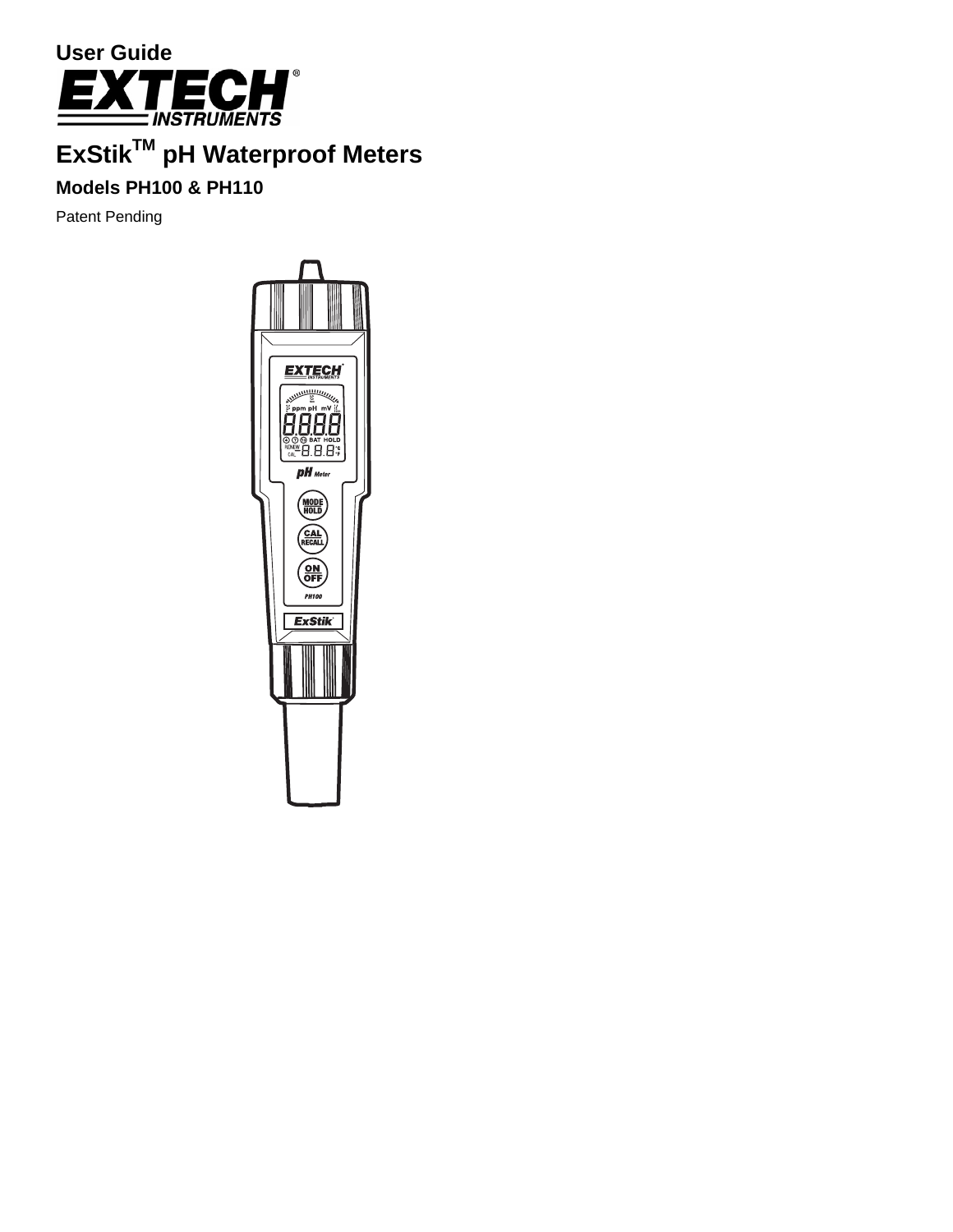

# **ExStik™ pH Waterproof Meters**

# **Models PH100 & PH110**

Patent Pending

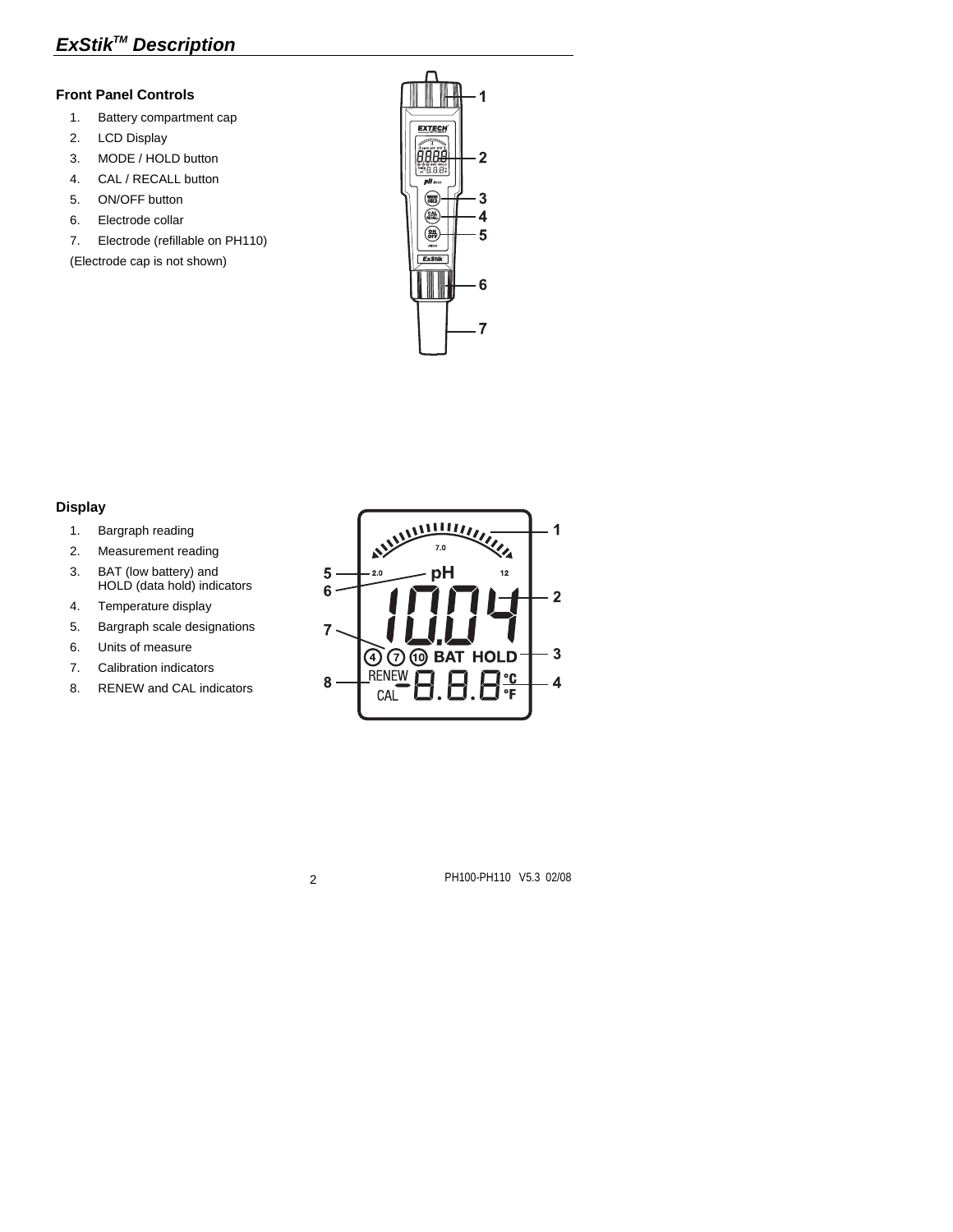# *ExStikTM Description*

#### **Front Panel Controls**

- 1. Battery compartment cap
- 2. LCD Display
- 3. MODE / HOLD button
- 4. CAL / RECALL button
- 5. ON/OFF button
- 6. Electrode collar
- 7. Electrode (refillable on PH110)

(Electrode cap is not shown)



#### **Display**

- 1. Bargraph reading
- 2. Measurement reading
- 3. BAT (low battery) and HOLD (data hold) indicators
- 4. Temperature display
- 5. Bargraph scale designations
- 6. Units of measure
- 7. Calibration indicators
- 8. RENEW and CAL indicators

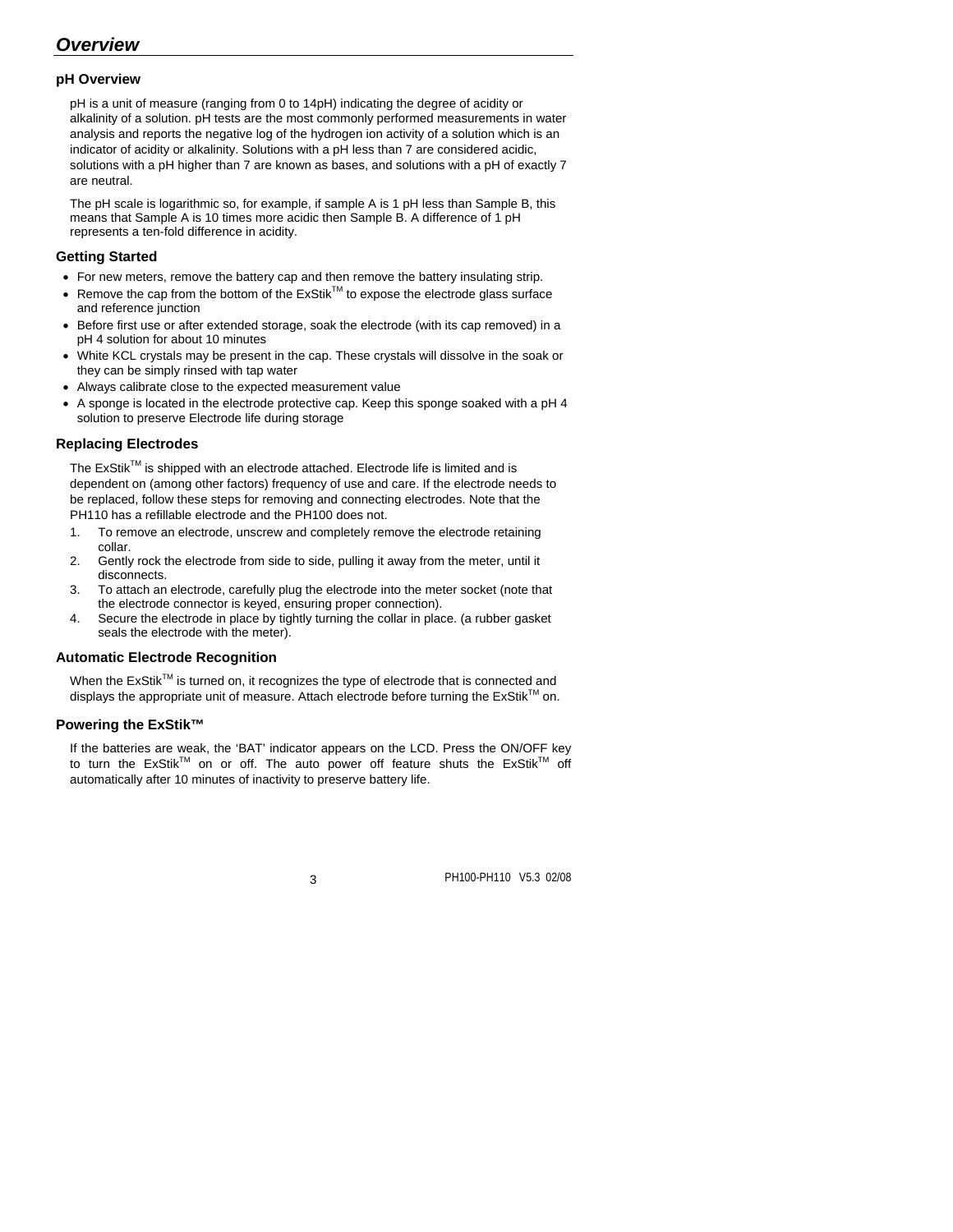### *Overview*

#### **pH Overview**

pH is a unit of measure (ranging from 0 to 14pH) indicating the degree of acidity or alkalinity of a solution. pH tests are the most commonly performed measurements in water analysis and reports the negative log of the hydrogen ion activity of a solution which is an indicator of acidity or alkalinity. Solutions with a pH less than 7 are considered acidic, solutions with a pH higher than 7 are known as bases, and solutions with a pH of exactly 7 are neutral.

The pH scale is logarithmic so, for example, if sample A is 1 pH less than Sample B, this means that Sample A is 10 times more acidic then Sample B. A difference of 1 pH represents a ten-fold difference in acidity.

#### **Getting Started**

- For new meters, remove the battery cap and then remove the battery insulating strip.
- Remove the cap from the bottom of the  $ExStik^{\text{TM}}$  to expose the electrode glass surface and reference junction
- Before first use or after extended storage, soak the electrode (with its cap removed) in a pH 4 solution for about 10 minutes
- White KCL crystals may be present in the cap. These crystals will dissolve in the soak or they can be simply rinsed with tap water
- Always calibrate close to the expected measurement value
- A sponge is located in the electrode protective cap. Keep this sponge soaked with a pH 4 solution to preserve Electrode life during storage

#### **Replacing Electrodes**

The  $ExStik^{TM}$  is shipped with an electrode attached. Electrode life is limited and is dependent on (among other factors) frequency of use and care. If the electrode needs to be replaced, follow these steps for removing and connecting electrodes. Note that the PH110 has a refillable electrode and the PH100 does not.

- 1. To remove an electrode, unscrew and completely remove the electrode retaining collar.
- 2. Gently rock the electrode from side to side, pulling it away from the meter, until it disconnects.
- 3. To attach an electrode, carefully plug the electrode into the meter socket (note that the electrode connector is keyed, ensuring proper connection).
- 4. Secure the electrode in place by tightly turning the collar in place. (a rubber gasket seals the electrode with the meter).

#### **Automatic Electrode Recognition**

When the ExStik™ is turned on, it recognizes the type of electrode that is connected and displays the appropriate unit of measure. Attach electrode before turning the  $ExStik^{TM}$  on.

#### **Powering the ExStik™**

If the batteries are weak, the 'BAT' indicator appears on the LCD. Press the ON/OFF key to turn the  $ExStik^{TM}$  on or off. The auto power off feature shuts the  $ExStik^{TM}$  off automatically after 10 minutes of inactivity to preserve battery life.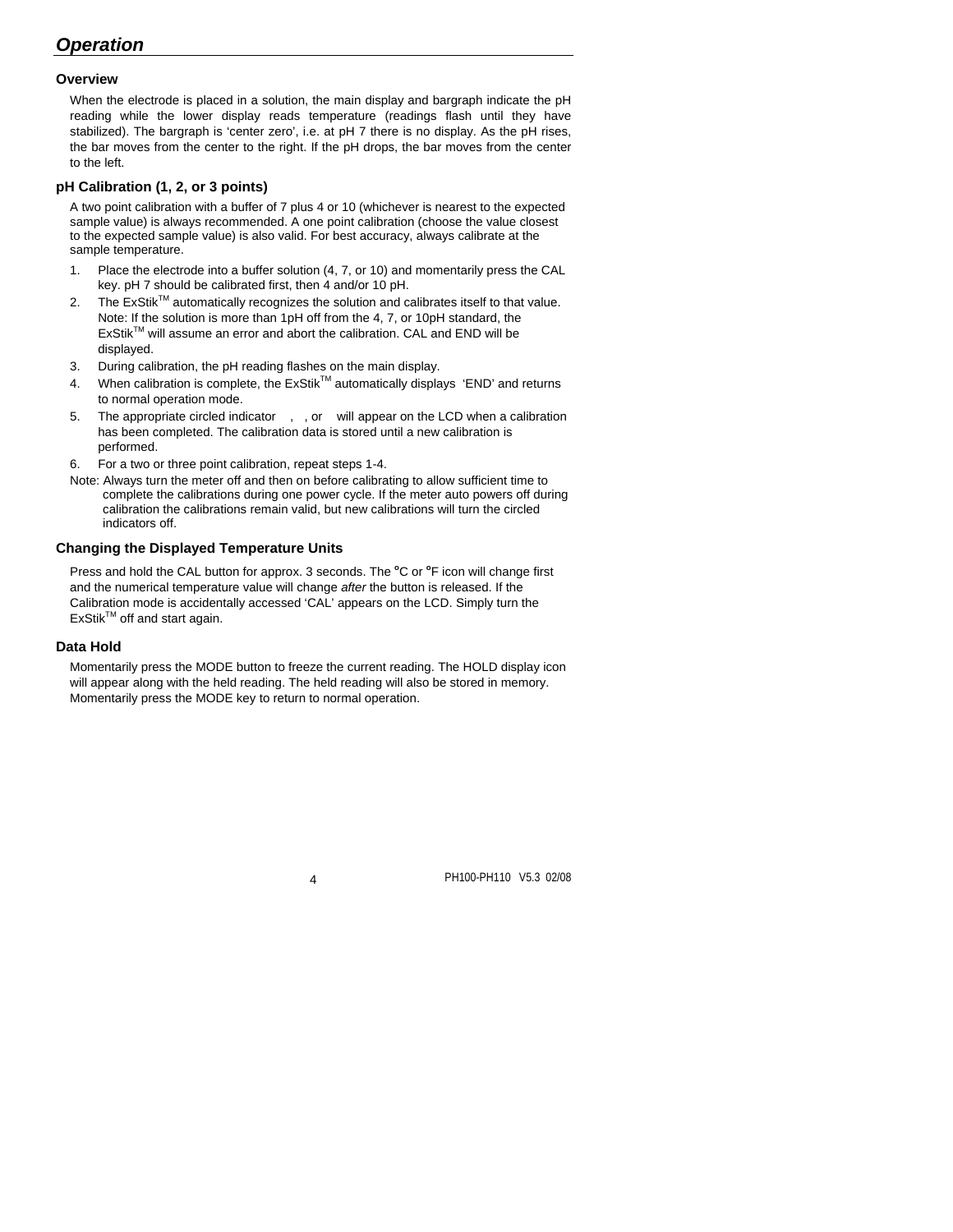# *Operation*

#### **Overview**

When the electrode is placed in a solution, the main display and bargraph indicate the pH reading while the lower display reads temperature (readings flash until they have stabilized). The bargraph is 'center zero', i.e. at pH 7 there is no display. As the pH rises, the bar moves from the center to the right. If the pH drops, the bar moves from the center to the left.

#### **pH Calibration (1, 2, or 3 points)**

A two point calibration with a buffer of 7 plus 4 or 10 (whichever is nearest to the expected sample value) is always recommended. A one point calibration (choose the value closest to the expected sample value) is also valid. For best accuracy, always calibrate at the sample temperature.

- 1. Place the electrode into a buffer solution (4, 7, or 10) and momentarily press the CAL key. pH 7 should be calibrated first, then 4 and/or 10 pH.
- 2. The ExStik<sup>TM</sup> automatically recognizes the solution and calibrates itself to that value. Note: If the solution is more than 1pH off from the 4, 7, or 10pH standard, the ExStikTM will assume an error and abort the calibration. CAL and END will be displayed.
- 3. During calibration, the pH reading flashes on the main display.
- 4. When calibration is complete, the  $ExStik^{TM}$  automatically displays 'END' and returns to normal operation mode.
- 5. The appropriate circled indicator, , or will appear on the LCD when a calibration has been completed. The calibration data is stored until a new calibration is performed.
- 6. For a two or three point calibration, repeat steps 1-4.
- Note: Always turn the meter off and then on before calibrating to allow sufficient time to complete the calibrations during one power cycle. If the meter auto powers off during calibration the calibrations remain valid, but new calibrations will turn the circled indicators off.

#### **Changing the Displayed Temperature Units**

Press and hold the CAL button for approx. 3 seconds. The <sup>o</sup>C or <sup>o</sup>F icon will change first and the numerical temperature value will change *after* the button is released. If the Calibration mode is accidentally accessed 'CAL' appears on the LCD. Simply turn the ExStik™ off and start again.

#### **Data Hold**

Momentarily press the MODE button to freeze the current reading. The HOLD display icon will appear along with the held reading. The held reading will also be stored in memory. Momentarily press the MODE key to return to normal operation.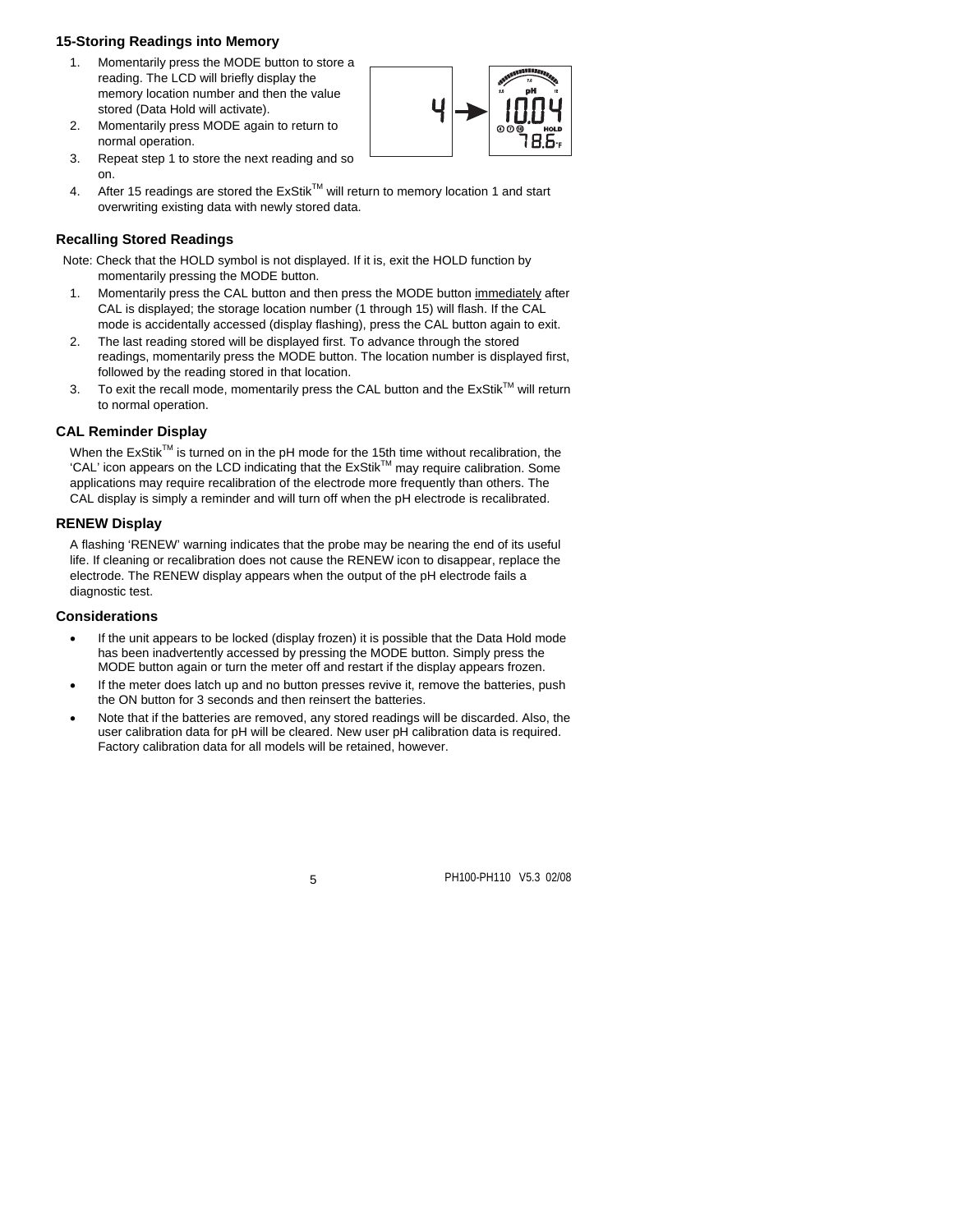#### **15-Storing Readings into Memory**

- 1. Momentarily press the MODE button to store a reading. The LCD will briefly display the memory location number and then the value stored (Data Hold will activate).
- 2. Momentarily press MODE again to return to normal operation.
- 3. Repeat step 1 to store the next reading and so on.
- 
- 4. After 15 readings are stored the ExStik™ will return to memory location 1 and start overwriting existing data with newly stored data.

#### **Recalling Stored Readings**

Note: Check that the HOLD symbol is not displayed. If it is, exit the HOLD function by momentarily pressing the MODE button.

- 1. Momentarily press the CAL button and then press the MODE button immediately after CAL is displayed; the storage location number (1 through 15) will flash. If the CAL mode is accidentally accessed (display flashing), press the CAL button again to exit.
- 2. The last reading stored will be displayed first. To advance through the stored readings, momentarily press the MODE button. The location number is displayed first, followed by the reading stored in that location.
- 3. To exit the recall mode, momentarily press the CAL button and the  $ExStik^{TM}$  will return to normal operation.

#### **CAL Reminder Display**

When the  $ExStik^{TM}$  is turned on in the pH mode for the 15th time without recalibration, the 'CAL' icon appears on the LCD indicating that the ExStikTM may require calibration. Some applications may require recalibration of the electrode more frequently than others. The CAL display is simply a reminder and will turn off when the pH electrode is recalibrated.

#### **RENEW Display**

A flashing 'RENEW' warning indicates that the probe may be nearing the end of its useful life. If cleaning or recalibration does not cause the RENEW icon to disappear, replace the electrode. The RENEW display appears when the output of the pH electrode fails a diagnostic test.

#### **Considerations**

- If the unit appears to be locked (display frozen) it is possible that the Data Hold mode has been inadvertently accessed by pressing the MODE button. Simply press the MODE button again or turn the meter off and restart if the display appears frozen.
- If the meter does latch up and no button presses revive it, remove the batteries, push the ON button for 3 seconds and then reinsert the batteries.
- Note that if the batteries are removed, any stored readings will be discarded. Also, the user calibration data for pH will be cleared. New user pH calibration data is required. Factory calibration data for all models will be retained, however.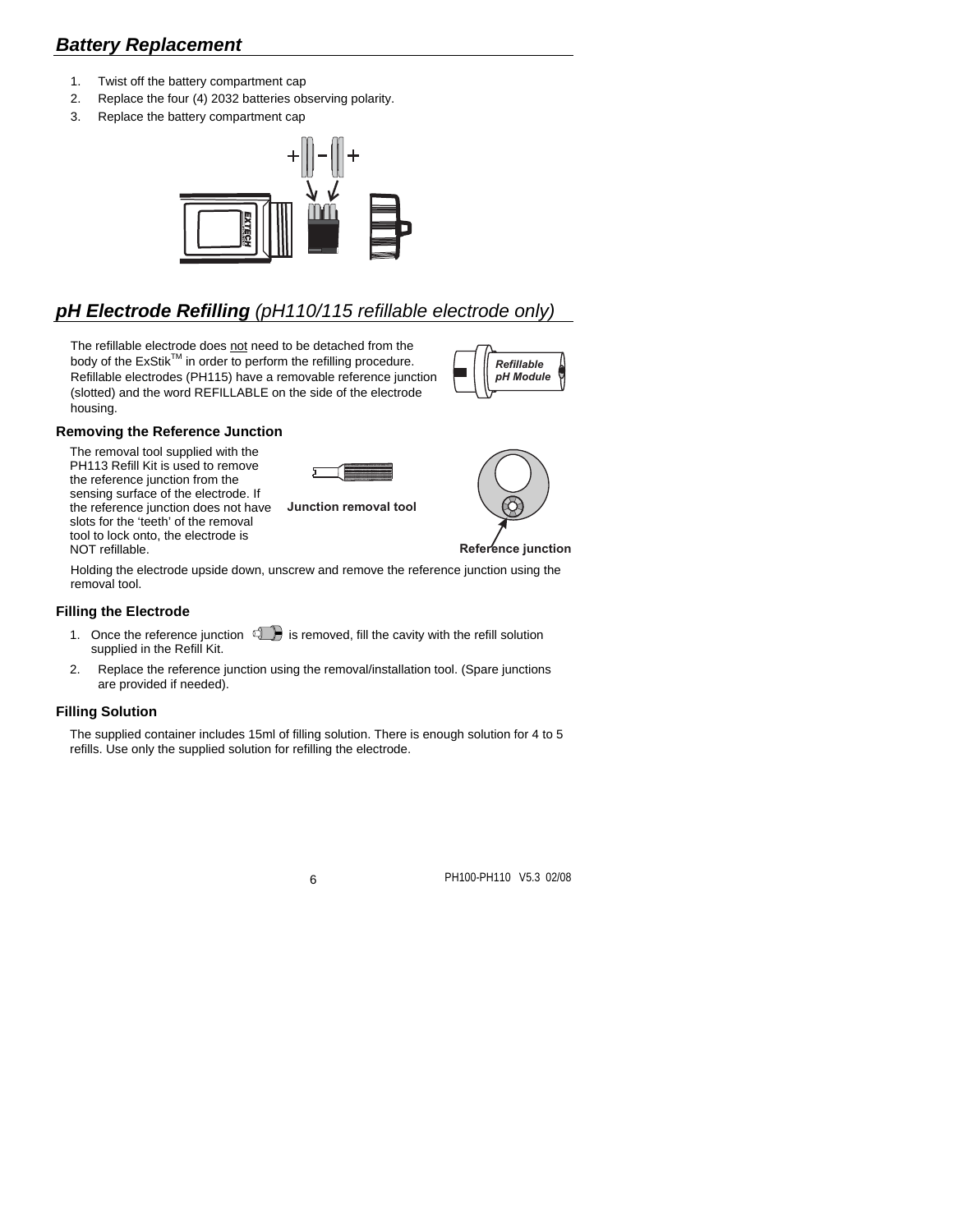## *Battery Replacement*

- 1. Twist off the battery compartment cap
- 2. Replace the four (4) 2032 batteries observing polarity.
- 3. Replace the battery compartment cap



# *pH Electrode Refilling (pH110/115 refillable electrode only)*

The refillable electrode does not need to be detached from the body of the ExStik<sup>TM</sup> in order to perform the refilling procedure. Refillable electrodes (PH115) have a removable reference junction (slotted) and the word REFILLABLE on the side of the electrode housing.



#### **Removing the Reference Junction**

The removal tool supplied with the PH113 Refill Kit is used to remove the reference junction from the sensing surface of the electrode. If the reference junction does not have slots for the 'teeth' of the removal tool to lock onto, the electrode is NOT refillable.



**Junction removal tool**



**Reference junction**

Holding the electrode upside down, unscrew and remove the reference junction using the removal tool.

#### **Filling the Electrode**

- 1. Once the reference junction  $\mathbb{C}$  is removed, fill the cavity with the refill solution supplied in the Refill Kit.
- 2. Replace the reference junction using the removal/installation tool. (Spare junctions are provided if needed).

#### **Filling Solution**

The supplied container includes 15ml of filling solution. There is enough solution for 4 to 5 refills. Use only the supplied solution for refilling the electrode.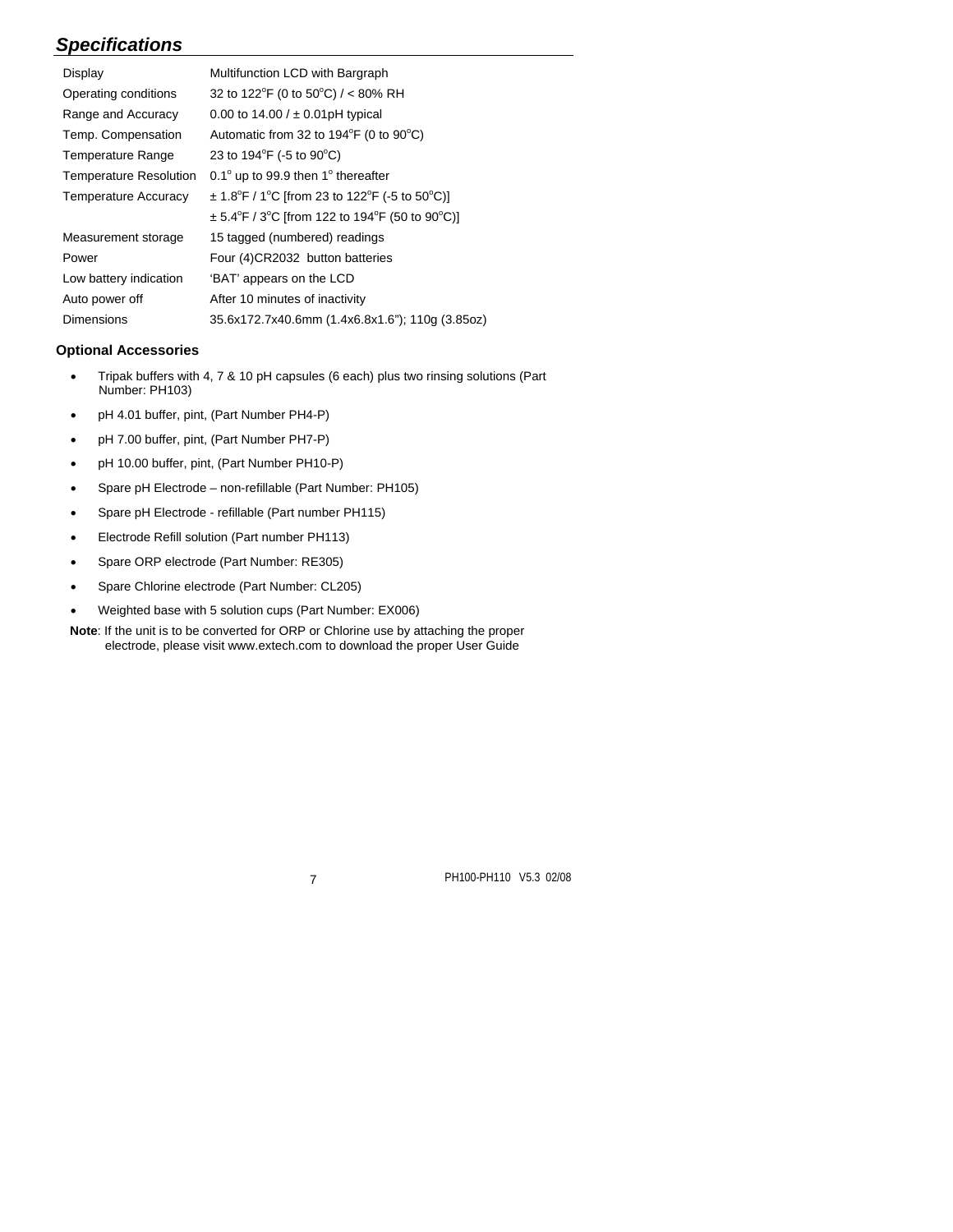# *Specifications*

| Display                       | Multifunction LCD with Bargraph                                                                       |
|-------------------------------|-------------------------------------------------------------------------------------------------------|
| Operating conditions          | 32 to 122 <sup>°</sup> F (0 to 50 <sup>°</sup> C) / < 80% RH                                          |
| Range and Accuracy            | 0.00 to 14.00 / $\pm$ 0.01pH typical                                                                  |
| Temp. Compensation            | Automatic from 32 to $194^{\circ}F$ (0 to $90^{\circ}C$ )                                             |
| <b>Temperature Range</b>      | 23 to $194^{\circ}F$ (-5 to $90^{\circ}C$ )                                                           |
| <b>Temperature Resolution</b> | 0.1 $^{\circ}$ up to 99.9 then 1 $^{\circ}$ thereafter                                                |
| <b>Temperature Accuracy</b>   | $\pm$ 1.8 <sup>o</sup> F / 1 <sup>o</sup> C [from 23 to 122 <sup>o</sup> F (-5 to 50 <sup>o</sup> C)] |
|                               | $\pm$ 5.4°F / 3°C [from 122 to 194°F (50 to 90°C)]                                                    |
| Measurement storage           | 15 tagged (numbered) readings                                                                         |
| Power                         | Four (4)CR2032 button batteries                                                                       |
| Low battery indication        | 'BAT' appears on the LCD                                                                              |
| Auto power off                | After 10 minutes of inactivity                                                                        |
| <b>Dimensions</b>             | 35.6x172.7x40.6mm (1.4x6.8x1.6"); 110q (3.85oz)                                                       |

#### **Optional Accessories**

- Tripak buffers with 4, 7 & 10 pH capsules (6 each) plus two rinsing solutions (Part Number: PH103)
- pH 4.01 buffer, pint, (Part Number PH4-P)
- pH 7.00 buffer, pint, (Part Number PH7-P)
- pH 10.00 buffer, pint, (Part Number PH10-P)
- Spare pH Electrode non-refillable (Part Number: PH105)
- Spare pH Electrode refillable (Part number PH115)
- Electrode Refill solution (Part number PH113)
- Spare ORP electrode (Part Number: RE305)
- Spare Chlorine electrode (Part Number: CL205)
- Weighted base with 5 solution cups (Part Number: EX006)

**Note**: If the unit is to be converted for ORP or Chlorine use by attaching the proper electrode, please visit www.extech.com to download the proper User Guide